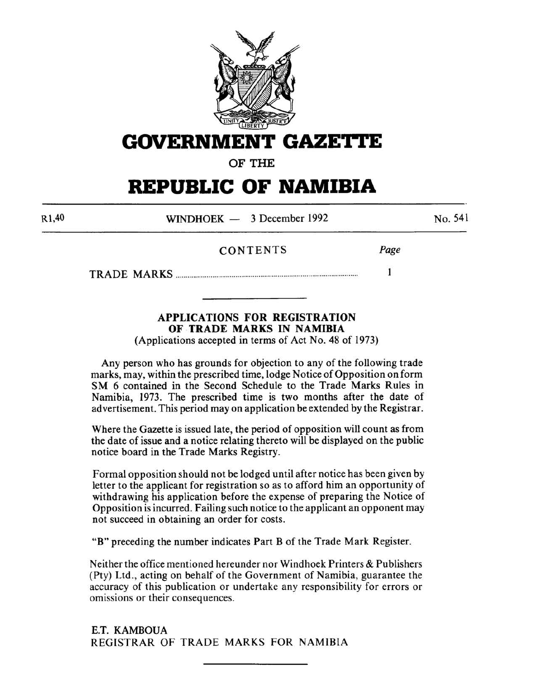

**GOVERNMENT GAZE'J•tE** 

**OF THE** 

# **REPUBLIC OF NAMIBIA**

Rl,40

WINDHOEK - 3 December 1992

No. 541

# CONTENTS *Page*

TRADE MARKS ............................................................................................... **1** 

# **APPLICATIONS FOR REGISTRATION OF TRADE MARKS IN NAMIBIA**

(Applications accepted in terms of Act No. 48 of 1973)

Any person who has grounds for objection to any of the following trade marks, may, within the prescribed time, lodge Notice of Opposition on form SM 6 contained in the Second Schedule to the Trade Marks Rules in Namibia, 1973. The prescribed time is two months after the date of advertisement. This period may on application be extended by the Registrar.

Where the Gazette is issued late, the period of opposition will count as from the date of issue and a notice relating thereto will be displayed on the public notice board in the Trade Marks Registry.

Formal opposition should not be lodged until after notice has been given by letter to the applicant for registration so as to afford him an opportunity of withdrawing his application before the expense of preparing the Notice of Opposition is incurred. Failing such notice to the applicant an opponent may not succeed in obtaining an order for costs.

**"B"** preceding the number indicates Part B of the Trade Mark Register.

Neither the office mentioned hereunder nor Windhoek Printers & Publishers (Pty) Ltd., acting on behalf of the Government of Namibia, guarantee the accuracy of this publication or undertake any responsibility for errors or omissions or their consequences.

E.T. KAMBOUA REGISTRAR OF TRADE MARKS FOR NAMIBIA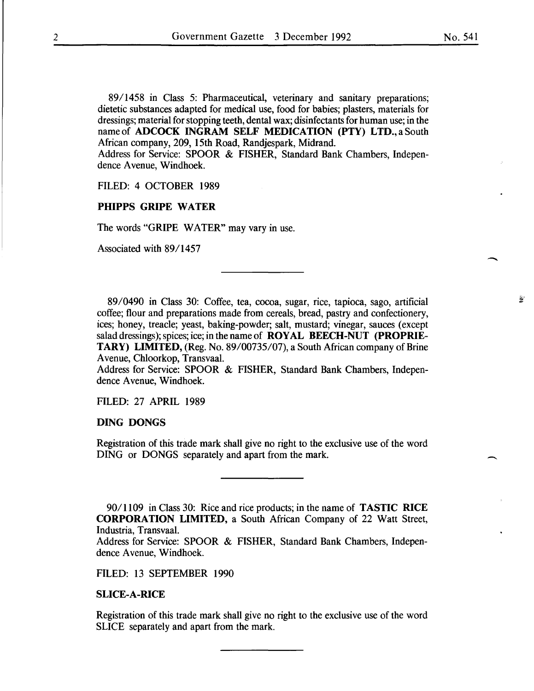89/1458 in Class 5: Pharmaceutical, veterinary and sanitary preparations; dietetic substances adapted for medical use, food for babies; plasters, materials for dressings; material for stopping teeth, dental wax; disinfectants for human use; in the name of **ADCOCK INGRAM SELF MEDICATION (PTY) LTD., a** South African company, 209, 15th Road, Randjespark, Midrand. Address for Service: SPOOR & FISHER, Standard Bank Chambers, Indepen-

dence Avenue, Windhoek.

#### FILED: 4 OCTOBER 1989

#### **PHIPPS GRIPE WATER**

The words "GRIPE WATER" may vary in use.

Associated with 89/1457

89/0490 in Class 30: Coffee, tea, cocoa, sugar, rice, tapioca, sago, artificial coffee; flour and preparations made from cereals, bread, pastry and confectionery, ices; honey, treacle; yeast, baking-powder; salt, mustard; vinegar, sauces (except salad dressings); spices; ice; in the name of **ROYAL BEECH-NUT (PROPRIE-TARY) LIMITED,** (Reg. No. 89/00735/07), a South African company of Brine A venue, Chloorkop, Transvaal.

Address for Service: SPOOR & FISHER, Standard Bank Chambers, Independence Avenue, Windhoek.

FILED: 27 APRIL 1989

#### **DING DONGS**

Registration of this trade mark shall give no right to the exclusive use of the word DING or DONGS separately and apart from the mark.

*901* 1109 in Class 30: Rice and rice products; in the name of **TASTIC RICE CORPORATION LIMITED,** a South African Company of 22 Watt Street, Industria, Transvaal.

Address for Service: SPOOR & FISHER, Standard Bank Chambers, Independence Avenue, Windhoek.

FILED: 13 SEPTEMBER 1990

#### **SLICE-A-RICE**

Registration of this trade mark shall give no right to the exclusive use of the word SLICE separately and apart from the mark.

-

鳌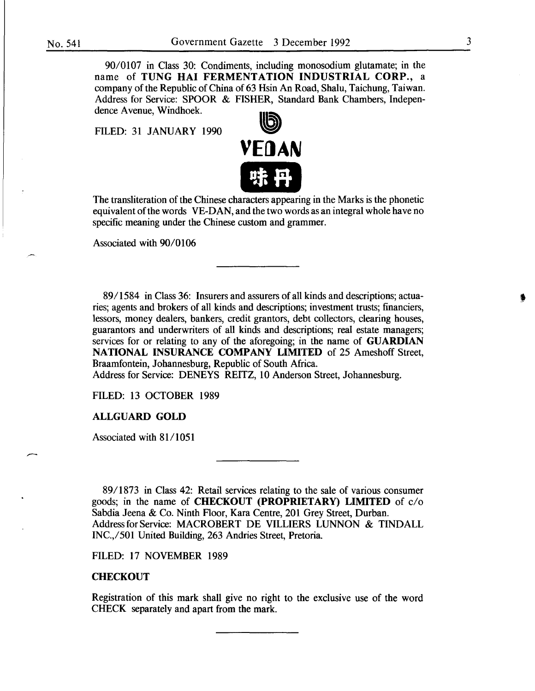90/0107 in Class 30: Condiments, including monosodium glutamate; in the name of TUNG HAl FERMENTATION INDUSTRIAL CORP., a company of the Republic of China of 63 Hsin An Road, Shalu, Taichung, Taiwan. Address for Service: SPOOR & FISHER, Standard Bank Chambers, Independence Avenue, Windhoek.

FILED: 31 JANUARY 1990



The transliteration of the Chinese characters appearing in the Marks is the phonetic equivalent of the words VE-DAN, and the two words as an integral whole have no specific meaning under the Chinese custom and grammer.

Associated with 90/0106

8911584 in Class 36: Insurers and assurers of all kinds and descriptions; actuaries; agents and brokers of all kinds and descriptions; investment trusts; financiers, lessors, money dealers, bankers, credit grantors, debt collectors, clearing houses, guarantors and underwriters of all kinds and descriptions; real estate managers; services for or relating to any of the aforegoing; in the name of **GUARDIAN** NATIONAL INSURANCE COMPANY LIMITED of 25 Ameshoff Street, Braamfontein, Johannesburg, Republic of South Africa.

Address for Service: DENEYS REITZ, 10 Anderson Street, Johannesburg.

FILED: 13 OCTOBER 1989

#### ALLGUARD GOLD

Associated with 81/1051

89/1873 in Class 42: Retail services relating to the sale of various consumer goods; in the name of CHECKOUT (PROPRIETARY) LIMITED of c/o Sabdia Jeena & Co. Ninth Floor, Kara Centre, 201 Grey Street, Durban. Address for Service: MACROBERT DE VILLIERS LUNNON & TINDALL INC.,/501 United Building, 263 Andries Street, Pretoria.

FILED: 17 NOVEMBER 1989

#### **CHECKOUT**

Registration of this mark shall give no right to the exclusive use of the word CHECK separately and apart from the mark.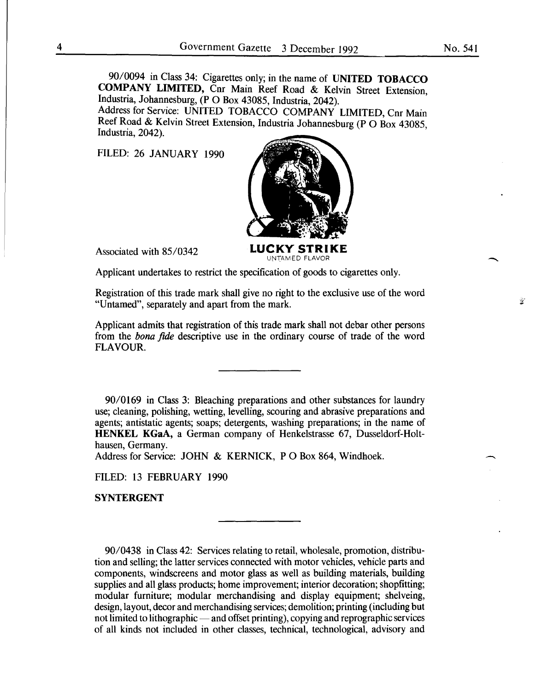90/0094 in Class 34: Cigarettes only; in the name of **UNITED TOBACCO COMPANY LIMITED,** Cnr Main Reef Road & Kelvin Street Extension Industria, Johannesburg, **(P** 0 Box 43085, Industria, 2042). '

Address for Service: UNITED TOBACCO COMPANY LIMITED, Cnr Main Reef Road & Kelvin Street Extension, Industria Johannesburg (P O Box 43085, Industria, 2042).

FILED: 26 JANUARY 1990



Applicant undertakes to restrict the specification of goods to cigarettes only.

Registration of this trade mark shall give no right to the exclusive use of the word "Untamed", separately and apart from the mark.

Applicant admits that registration of this trade mark shall not debar other persons from the *bona fide* descriptive use in the ordinary course of trade of the word FLAVOUR.

90/0169 in Class 3: Bleaching preparations and other substances for laundry use; cleaning, polishing, wetting, levelling, scouring and abrasive preparations and agents; antistatic agents; soaps; detergents, washing preparations; in the name of **HENKEL KGaA,** a German company of Henkelstrasse 67, Dusseldorf-Holthausen, Germany.

Address for Service: JOHN & KERNICK, PO Box 864, Windhoek.

FILED: 13 FEBRUARY 1990

**SYNTERGENT** 

90/0438 in Class 42: Services relating to retail, wholesale, promotion, distribution and selling; the latter services connected with motor vehicles, vehicle parts and components, windscreens and motor glass as well as building materials, building supplies and all glass products; home improvement; interior decoration; shopfitting; modular furniture; modular merchandising and display equipment; shelveing, design, layout, decor and merchandising services; demolition; printing (including but not limited to lithographic — and offset printing), copying and reprographic services of all kinds not included in other classes, technical, technological, advisory and  $\mathcal{L}$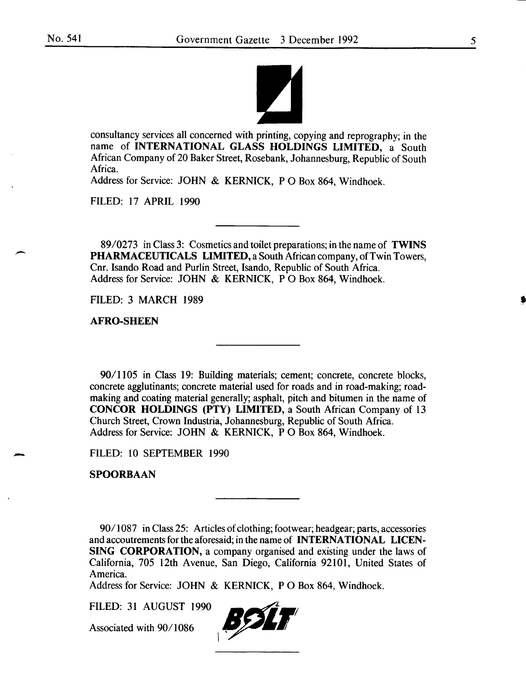

consultancy services all concerned with printing, copying and reprography; in the name of INTERNATIONAL GLASS HOLDINGS LIMITED, a South African Company of 20 Baker Street, Rosebank, Johannesburg, Republic of South Africa.

Address for Service: JOHN & KERNICK, PO Box 864, Windhoek.

FILED: 17 APRIL 1990

89/0273 in Class 3: Cosmetics and toilet preparations; in the name of TWINS PHARMACEUTICALS LIMITED, a South African company, of Twin Towers, Cnr. Isando Road and Purlin Street, Isando, Republic of South Africa. Address for Service: JOHN & KERNICK, PO Box 864, Windhoek.

FILED: 3 MARCH 1989

AFRO-SHEEN

90/1105 in Class 19: Building materials; cement; concrete, concrete blocks, concrete agglutinants; concrete material used for roads and in road-making; roadmaking and coating material generally; asphalt, pitch and bitumen in the name of CONCOR HOLDINGS (PTY) LIMITED, a South African Company of 13 Church Street, Crown Industria, Johannesburg, Republic of South Africa. Address for Service: JOHN & KERNICK, P 0 Box 864, Windhoek.

FILED: 10 SEPTEMBER 1990

SPOORBAAN

-

90/1087 in Class 25: Articles of clothing; footwear; headgear; parts, accessories and accoutrements for the aforesaid; in the name of INTERNATIONAL LICEN-SING CORPORATION, a company organised and existing under the laws of California, 705 12th Avenue, San Diego, California 92101, United States of America.

Address for Service: JOHN & KERNICK, P 0 Box 864, Windhoek.

FILED: 31 AUGUST 1990

Associated with 90/1086

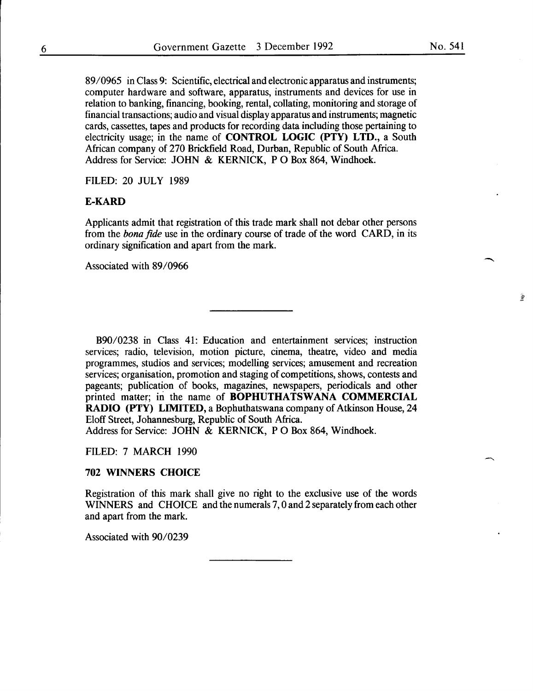89/0965 in Class 9: Scientific, electrical and electronic apparatus and instruments; computer hardware and software, apparatus, instruments and devices for use in relation to banking, financing, booking, rental, collating, monitoring and storage of financial transactions; audio and visual display apparatus and instruments; magnetic cards, cassettes, tapes and products for recording data including those pertaining to electricity usage; in the name of **CONTROL LOGIC (PTY) LTD.,** a South African company of 270 Brickfield Road, Durban, Republic of South Africa. Address for Service: JOHN & KERNICK, **P** 0 Box 864, Windhoek.

FILED: 20 JULY 1989

# **E-KARD**

Applicants admit that registration of this trade mark shall not debar other persons from the *bona fide* use in the ordinary course of trade of the word CARD, in its ordinary signification and apart from the mark.

Associated with 89/0966

B90/0238 in Class 41: Education and entertainment services; instruction services; radio, television, motion picture, cinema, theatre, video and media programmes, studios and services; modelling services; amusement and recreation services; organisation, promotion and staging of competitions, shows, contests and pageants; publication of books, magazines, newspapers, periodicals and other printed matter; in the name of **BOPHUTHATSWANA COMMERCIAL RADIO (PTY) LIMITED,** a Bophuthatswana company of Atkinson House, 24 Eloff Street, Johannesburg, Republic of South Africa.

Address for Service: JOHN & KERNICK, P O Box 864, Windhoek.

FILED: 7 MARCH 1990

# **702 WINNERS CHOICE**

Registration of this mark shall give no right to the exclusive use of the words WINNERS and CHOICE and the numerals 7, 0 and 2 separately from each other and apart from the mark.

Associated with 90/0239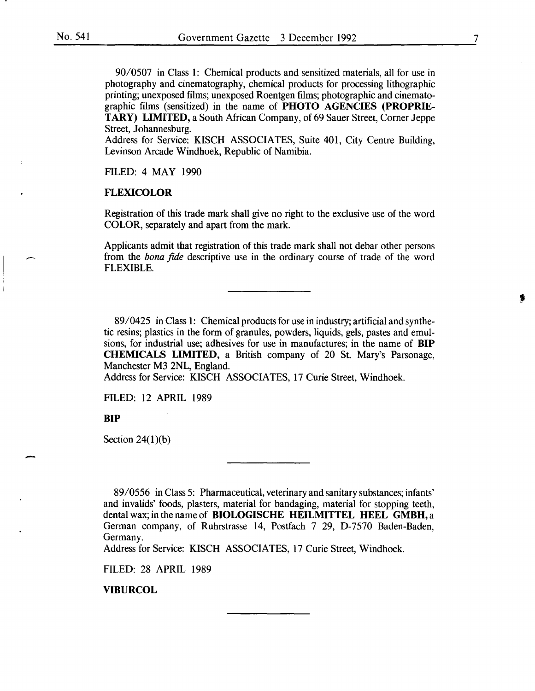90/0507 in Class 1: Chemical products and sensitized materials, all for use in photography and cinematography, chemical products for processing lithographic printing; unexposed films; unexposed Roentgen films; photographic and cinematographic films (sensitized) in the name of PHOTO AGENCIES (PROPRIE-TARY) LIMITED, a South African Company, of 69 Sauer Street, Corner Jeppe Street, Johannesburg.

Address for Service: KISCH ASSOCIATES, Suite 401, City Centre Building, Levinson Arcade Windhoek, Republic of Namibia.

FILED: 4 MAY 1990

#### FLEXICOLOR

Registration of this trade mark shall give no right to the exclusive use of the word COLOR, separately and apart from the mark.

Applicants admit that registration of this trade mark shall not debar other persons from the *bona fide* descriptive use in the ordinary course of trade of the word FLEXIBLE.

89/0425 in Class 1: Chemical products for use in industry; artificial and synthetic resins; plastics in the form of granules, powders, liquids, gels, pastes and emulsions, for industrial use; adhesives for use in manufactures; in the name of BIP CHEMICALS LIMITED, a British company of 20 St. Mary's Parsonage, Manchester M3 2NL, England.

Address for Service: KISCH ASSOCIATES, 17 Curie Street, Windhoek.

FILED: 12 APRIL 1989

BIP

-

Section  $24(1)(b)$ 

89/0556 in Class 5: Pharmaceutical, veterinary and sanitary substances; infants' and invalids' foods, plasters, material for bandaging, material for stopping teeth, dental wax; in the name of BIOLOGISCHE HEILMITTEL HEEL GMBH, a German company, of Ruhrstrasse 14, Postfach 7 29, D-7570 Baden-Baden, Germany.

Address for Service: KISCH ASSOCIATES, 17 Curie Street, Windhoek.

FILED: 28 APRIL 1989

VIBURCOL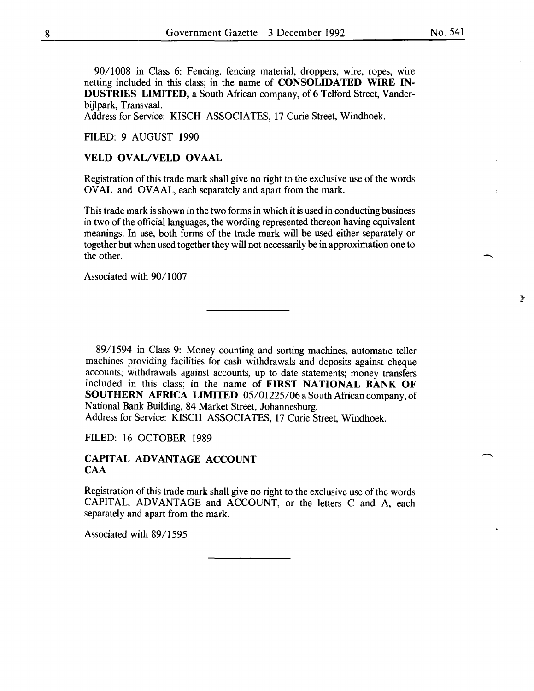-.

 $\frac{1}{2}$ 

90/1008 in Class 6: Fencing, fencing material, droppers, wire, ropes, wire netting included in this class; in the name of CONSOLIDATED WIRE IN-DUSTRIES LIMITED, a South African company, of 6 Telford Street, Vanderbijlpark, Transvaal.

Address for Service: KISCH ASSOCIATES, 17 Curie Street, Windhoek.

### FILED: 9 AUGUST 1990

# VELD OVAL/VELD OVAAL

Registration of this trade mark shall give no right to the exclusive use of the words OVAL and OVAAL, each separately and apart from the mark.

This trade mark is shown in the two forms in which it is used in conducting business in two of the official languages, the wording represented thereon having equivalent meanings. In use, both forms of the trade mark will be used either separately or together but when used together they will not necessarily be in approximation one to the other.

Associated with 90/1007

89/1594 in Class 9: Money counting and sorting machines, automatic teller machines providing facilities for cash withdrawals and deposits against cheque accounts; withdrawals against accounts, up to date statements; money transfers included in this class; in the name of FIRST NATIONAL BANK OF SOUTHERN AFRICA LIMITED 05/01225/06 a South African company, of National Bank Building, 84 Market Street, Johannesburg. Address for Service: KISCH ASSOCIATES, 17 Curie Street, Windhoek.

FILED: 16 OCTOBER 1989

# CAPITAL ADVANTAGE ACCOUNT CAA

Registration of this trade mark shall give no right to the exclusive use of the words CAPITAL, ADVANTAGE and ACCOUNT, or the letters C and A, each separately and apart from the mark.

Associated with 89/1595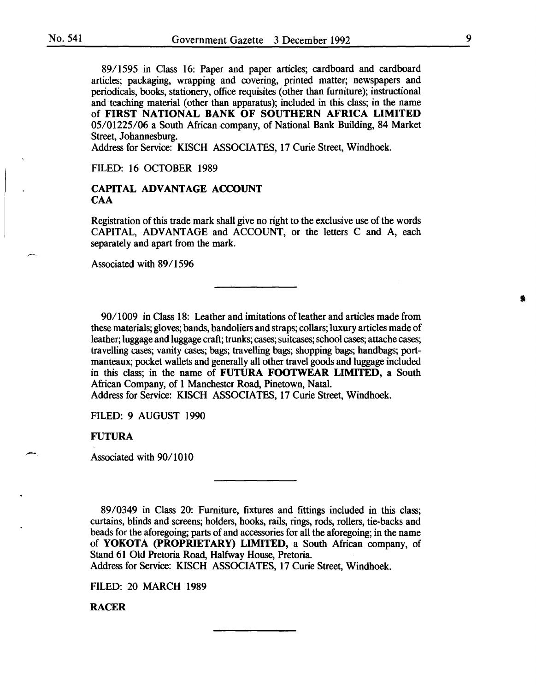89/1595 in Class 16: Paper and paper articles; cardboard and cardboard articles; packaging, wrapping and covering, printed matter; newspapers and periodicals, books, stationery, office requisites (other than furniture); instructional and teaching material (other than apparatus); included in this class; in the name of FIRST NATIONAL BANK OF SOUTHERN AFRICA LIMITED *05101225106* a South African company, of National Bank Building, 84 Market Street, Johannesburg.

Address for Service: KISCH ASSOCIATES, 17 Curie Street, Windhoek.

FILED: 16 OCTOBER 1989

# CAPITAL ADVANTAGE ACCOUNT **CAA**

Registration of this trade mark shall give no right to the exclusive use of the words CAPITAL, ADVANTAGE and ACCOUNT, or the letters C and A, each separately and apart from the mark.

Associated with 89/1596

90/1009 in Class 18: Leather and imitations of leather and articles made from these materials; gloves; bands, bandoliers and straps; collars; luxury articles made of leather; luggage and luggage craft; trunks; cases; suitcases; school cases; attache cases; travelling cases; vanity cases; bags; travelling bags; shopping bags; handbags; portmanteaux; pocket wallets and generally all other travel goods and luggage included in this class; in the name of FUTURA FOOTWEAR LIMITED, a South African Company, of 1 Manchester Road, Pinetown, Natal.

Address for Service: KISCH ASSOCIATES, 17 Curie Street, Windhoek.

FILED: 9 AUGUST 1990

FUTURA

Associated with 90/1010

89/0349 in Class 20: Furniture, fixtures and fittings included in this class; curtains, blinds and screens; holders, hooks, rails, rings, rods, rollers, tie-backs and beads for the aforegoing; parts of and accessories for all the aforegoing; in the name of YOKOTA (PROPRIETARY) LIMITED, a South African company, of Stand 61 Old Pretoria Road, Halfway House, Pretoria.

Address for Service: KISCH ASSOCIATES, 17 Curie Street, Windhoek.

FILED: 20 MARCH 1989

RACER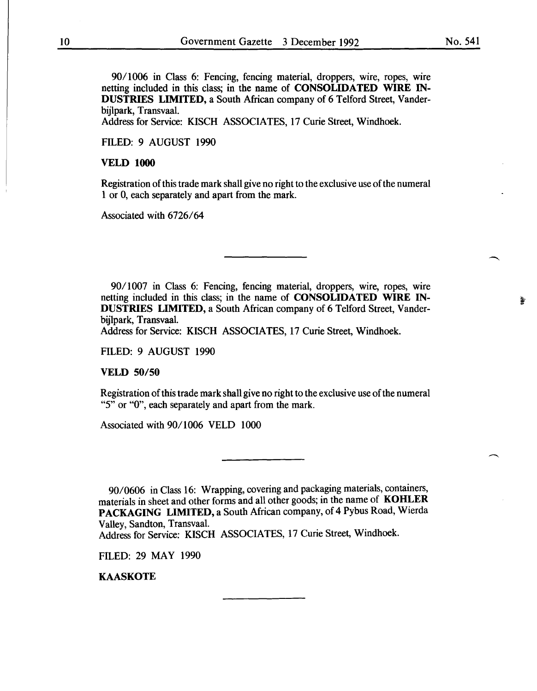90/1006 in Class 6: Fencing, fencing material, droppers, wire, ropes, wire netting included in this class; in the name of CONSOLIDATED WIRE IN-DUSTRIES LIMITED, a South African company of 6 Telford Street, Vanderbijlpark, Transvaal.

Address for Service: KISCH ASSOCIATES, 17 Curie Street, Windhoek.

FILED: 9 AUGUST 1990

#### VELD 1000

Registration of this trade mark shall give no right to the exclusive use of the numeral 1 or 0, each separately and apart from the mark.

Associated with 6726/64

90/1007 in Class 6: Fencing, fencing material, droppers, wire, ropes, wire netting included in this class; in the name of CONSOLIDATED WIRE IN-DUSTRIES LIMITED, a South African company of 6 Telford Street, Vanderbijlpark, Transvaal.

Address for Service: KISCH ASSOCIATES, 17 Curie Street, Windhoek.

FILED: 9 AUGUST 1990

VELD 50/50

Registration of this trade mark shall give no right to the exclusive use of the numeral "5" or "0", each separately and apart from the mark.

Associated with 90/1006 VELD 1000

90/0606 in Class 16: Wrapping, covering and packaging materials, containers, materials in sheet and other forms and all other goods; in the name of KOHLER PACKAGING LIMITED, a South African company, of 4 Pybus Road, Wierda Valley, Sandton, Transvaal.

Address for Service: KISCH ASSOCIATES, 17 Curie Street, Windhoek.

FILED: 29 MAY 1990

KAASKOTE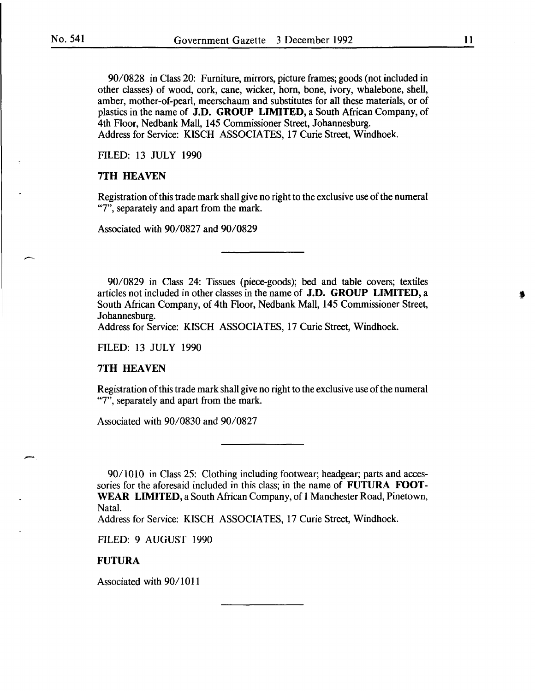$\overline{\phantom{0}}$ 

90/0828 in Class 20: Furniture, mirrors, picture frames; goods (not included in other classes) of wood, cork, cane, wicker, horn, bone, ivory, whalebone, shell, amber, mother-of-pearl, meerschaum and substitutes for all these materials, or of plastics in the name of J.D. GROUP LIMITED, a South African Company, of 4th Floor, Nedbank Mall, 145 Commissioner Street, Johannesburg. Address for Service: KISCH ASSOCIATES, 17 Curie Street, Windhoek.

FILED: 13 JULY 1990

# 7TH HEAVEN

Registration of this trade mark shall give no right to the exclusive use of the numeral "7", separately and apart from the mark.

Associated with 90/0827 and 90/0829

90/0829 in Class 24: Tissues (piece-goods); bed and table covers; textiles articles not included in other classes in the name of J.D. GROUP LIMITED, a South African Company, of 4th Floor, Nedbank Mall, 145 Commissioner Street, Johannesburg.

Address for Service: KISCH ASSOCIATES, 17 Curie Street, Windhoek.

FILED: 13 JULY 1990

#### 7TH HEAVEN

Registration of this trade mark shall give no right to the exclusive use of the numeral "7", separately and apart from the mark.

Associated with 90/0830 and 90/0827

90/1010 in Class 25: Clothing including footwear; headgear; parts and accessories for the aforesaid included in this class; in the name of FUTURA FOOT-WEAR LIMITED, a South African Company, of 1 Manchester Road, Pinetown, Natal.

Address for Service: KISCH ASSOCIATES, 17 Curie Street, Windhoek.

FILED: 9 AUGUST 1990

# FUTURA

Associated with 90/1011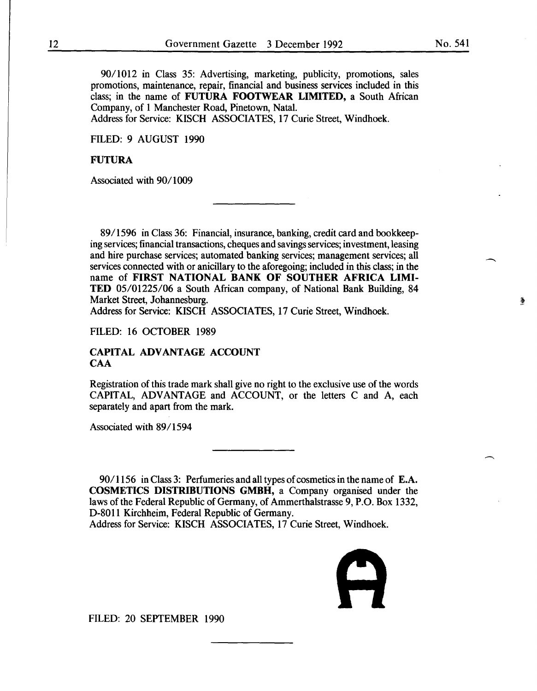90/1012 in Class 35: Advertising, marketing, publicity, promotions, sales promotions, maintenance, repair, financial and business services included in this class; in the name of FUTURA FOOTWEAR LIMITED, a South African Company, of I Manchester Road, Pinetown, Natal.

Address for Service: KISCH ASSOCIATES, 17 Curie Street, Windhoek.

FILED: 9 AUGUST 1990

# FUTURA

Associated with 90/1009

89/1596 in Class 36: Financial, insurance, banking, credit card and bookkeeping services; financial transactions, cheques and savings services; investment, leasing and hire purchase services; automated banking services; management services; all services connected with or anicillary to the aforegoing; included in this class; in the name of FIRST NATIONAL BANK OF SOUTHER AFRICA LIMI-TED 05/01225/06 a South African company, of National Bank Building, 84 Market Street, Johannesburg.

Address for Service: KISCH ASSOCIATES, 17 Curie Street, Windhoek.

FILED: 16 OCTOBER 1989

## CAPITAL ADVANTAGE ACCOUNT CAA

Registration of this trade mark shall give no right to the exclusive use of the words CAPITAL, ADVANTAGE and ACCOUNT, or the letters C and A, each separately and apart from the mark.

Associated with 89/1594

90/1156 in Class 3: Perfumeries and all types of cosmetics in the name of E.A. COSMETICS DISTRIBUTIONS GMBH, a Company organised under the laws of the Federal Republic of Germany, of Ammerthalstrasse 9, P.O. Box 1332, D-8011 Kirchheim, Federal Republic of Germany.

Address for Service: KISCH ASSOCIATES, 17 Curie Street, Windhoek.



FILED: 20 SEPTEMBER 1990

萎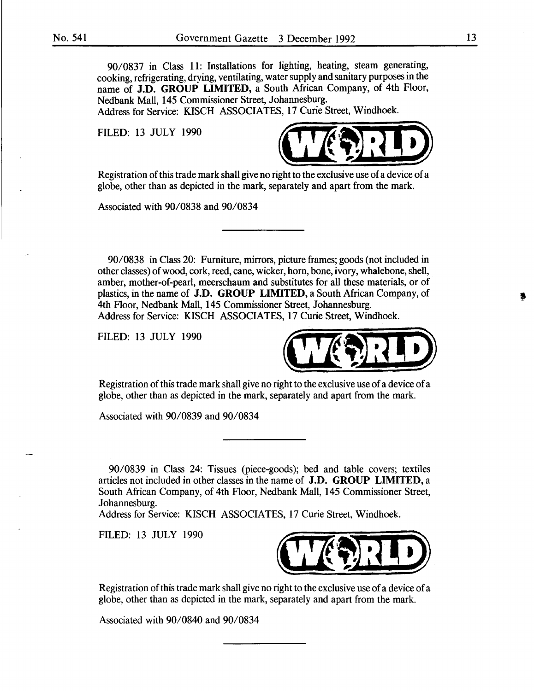90/0837 in Class 11: Installations for lighting, heating, steam generating, cooking, refrigerating, drying, ventilating, water supply and sanitary purposes in the name of **J.D. GROUP LIMITED,** a South African Company, of 4th Floor, Nedbank Mall, 145 Commissioner Street, Johannesburg.

Address for Service: KISCH ASSOCIATES, 17 Curie Street, Windhoek.

FILED: 13 JULY 1990



Registration of this trade mark shall give no right to the exclusive use of a device of a globe, other than as depicted in the mark, separately and apart from the mark.

Associated with 90/0838 and 90/0834

90/0838 in Class 20: Furniture, mirrors, picture frames; goods (not included in other classes) of wood, cork, reed, cane, wicker, horn, bone, ivory, whalebone, shell, amber, mother-of-pearl, meerschaum and substitutes for all these materials, or of plastics, in the name of **J.D. GROUP LIMITED,** a South African Company, of 4th Floor, Nedbank Mall, 145 Commissioner Street, Johannesburg. Address for Service: KISCH ASSOCIATES, 17 Curie Street, Windhoek.

FILED: 13 JULY 1990



Registration of this trade mark shall give no right to the exclusive use of a device of a globe, other than as depicted in the mark, separately and apart from the mark.

Associated with 90/0839 and 90/0834

90/0839 in Class 24: Tissues (piece-goods); bed and table covers; textiles articles not included in other classes in the name of **J.D. GROUP LIMITED,** a South African Company, of 4th Floor, Nedbank Mall, 145 Commissioner Street, Johannesburg.

Address for Service: KISCH ASSOCIATES, 17 Curie Street, Windhoek.

FILED: 13 JULY 1990



Registration of this trade mark shall give no right to the exclusive use of a device of a globe, other than as depicted in the mark, separately and apart from the mark.

Associated with 90/0840 and 90/0834